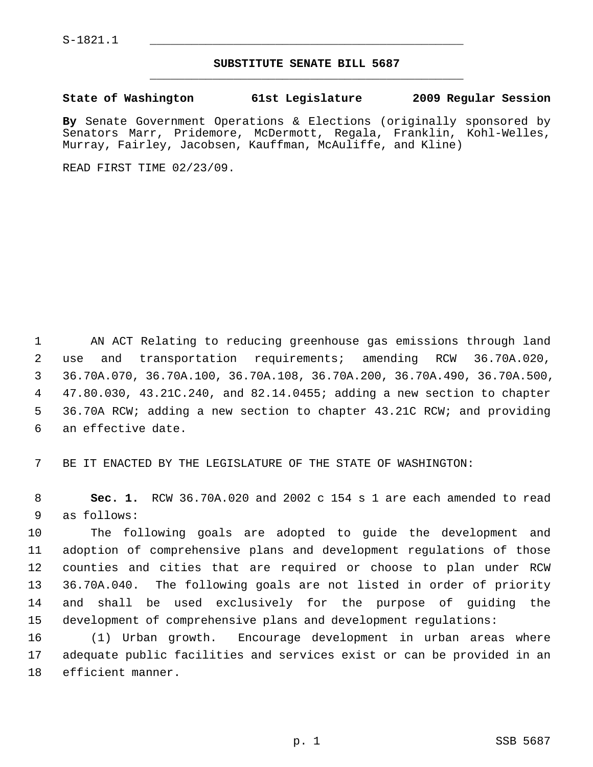## **SUBSTITUTE SENATE BILL 5687** \_\_\_\_\_\_\_\_\_\_\_\_\_\_\_\_\_\_\_\_\_\_\_\_\_\_\_\_\_\_\_\_\_\_\_\_\_\_\_\_\_\_\_\_\_

## **State of Washington 61st Legislature 2009 Regular Session**

**By** Senate Government Operations & Elections (originally sponsored by Senators Marr, Pridemore, McDermott, Regala, Franklin, Kohl-Welles, Murray, Fairley, Jacobsen, Kauffman, McAuliffe, and Kline)

READ FIRST TIME 02/23/09.

 1 AN ACT Relating to reducing greenhouse gas emissions through land 2 use and transportation requirements; amending RCW 36.70A.020, 3 36.70A.070, 36.70A.100, 36.70A.108, 36.70A.200, 36.70A.490, 36.70A.500, 4 47.80.030, 43.21C.240, and 82.14.0455; adding a new section to chapter 5 36.70A RCW; adding a new section to chapter 43.21C RCW; and providing 6 an effective date.

7 BE IT ENACTED BY THE LEGISLATURE OF THE STATE OF WASHINGTON:

 8 **Sec. 1.** RCW 36.70A.020 and 2002 c 154 s 1 are each amended to read 9 as follows:

10 The following goals are adopted to guide the development and 11 adoption of comprehensive plans and development regulations of those 12 counties and cities that are required or choose to plan under RCW 13 36.70A.040. The following goals are not listed in order of priority 14 and shall be used exclusively for the purpose of guiding the 15 development of comprehensive plans and development regulations:

16 (1) Urban growth. Encourage development in urban areas where 17 adequate public facilities and services exist or can be provided in an 18 efficient manner.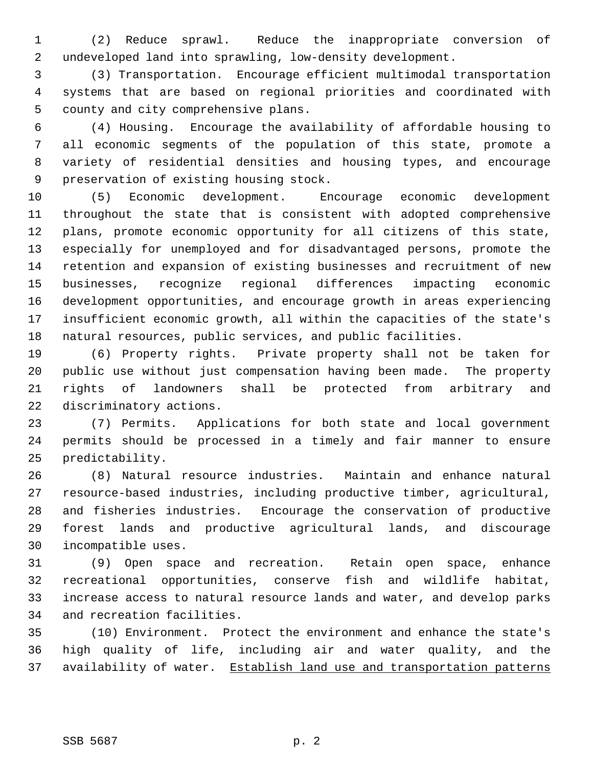1 (2) Reduce sprawl. Reduce the inappropriate conversion of 2 undeveloped land into sprawling, low-density development.

 3 (3) Transportation. Encourage efficient multimodal transportation 4 systems that are based on regional priorities and coordinated with 5 county and city comprehensive plans.

 6 (4) Housing. Encourage the availability of affordable housing to 7 all economic segments of the population of this state, promote a 8 variety of residential densities and housing types, and encourage 9 preservation of existing housing stock.

10 (5) Economic development. Encourage economic development 11 throughout the state that is consistent with adopted comprehensive 12 plans, promote economic opportunity for all citizens of this state, 13 especially for unemployed and for disadvantaged persons, promote the 14 retention and expansion of existing businesses and recruitment of new 15 businesses, recognize regional differences impacting economic 16 development opportunities, and encourage growth in areas experiencing 17 insufficient economic growth, all within the capacities of the state's 18 natural resources, public services, and public facilities.

19 (6) Property rights. Private property shall not be taken for 20 public use without just compensation having been made. The property 21 rights of landowners shall be protected from arbitrary and 22 discriminatory actions.

23 (7) Permits. Applications for both state and local government 24 permits should be processed in a timely and fair manner to ensure 25 predictability.

26 (8) Natural resource industries. Maintain and enhance natural 27 resource-based industries, including productive timber, agricultural, 28 and fisheries industries. Encourage the conservation of productive 29 forest lands and productive agricultural lands, and discourage 30 incompatible uses.

31 (9) Open space and recreation. Retain open space, enhance 32 recreational opportunities, conserve fish and wildlife habitat, 33 increase access to natural resource lands and water, and develop parks 34 and recreation facilities.

35 (10) Environment. Protect the environment and enhance the state's 36 high quality of life, including air and water quality, and the 37 availability of water. Establish land use and transportation patterns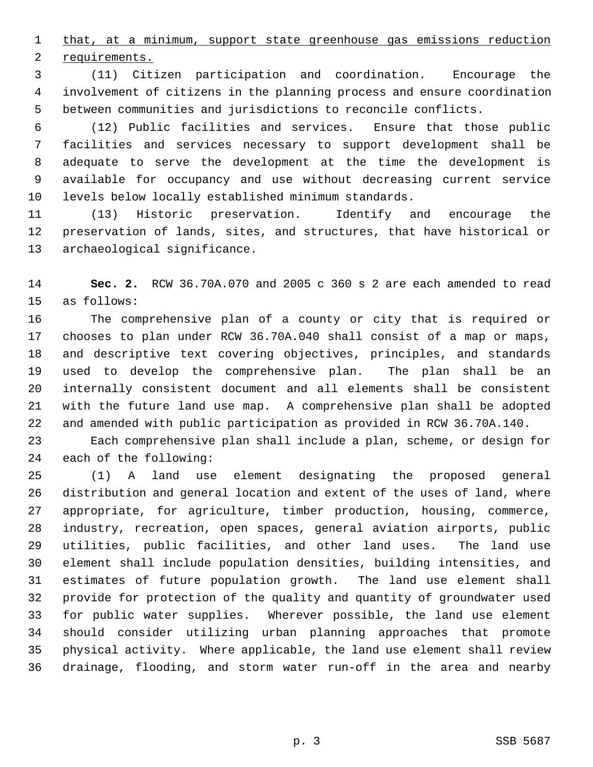1 that, at a minimum, support state greenhouse gas emissions reduction 2 requirements.

 3 (11) Citizen participation and coordination. Encourage the 4 involvement of citizens in the planning process and ensure coordination 5 between communities and jurisdictions to reconcile conflicts.

 6 (12) Public facilities and services. Ensure that those public 7 facilities and services necessary to support development shall be 8 adequate to serve the development at the time the development is 9 available for occupancy and use without decreasing current service 10 levels below locally established minimum standards.

11 (13) Historic preservation. Identify and encourage the 12 preservation of lands, sites, and structures, that have historical or 13 archaeological significance.

14 **Sec. 2.** RCW 36.70A.070 and 2005 c 360 s 2 are each amended to read 15 as follows:

16 The comprehensive plan of a county or city that is required or 17 chooses to plan under RCW 36.70A.040 shall consist of a map or maps, 18 and descriptive text covering objectives, principles, and standards 19 used to develop the comprehensive plan. The plan shall be an 20 internally consistent document and all elements shall be consistent 21 with the future land use map. A comprehensive plan shall be adopted 22 and amended with public participation as provided in RCW 36.70A.140.

23 Each comprehensive plan shall include a plan, scheme, or design for 24 each of the following:

25 (1) A land use element designating the proposed general 26 distribution and general location and extent of the uses of land, where 27 appropriate, for agriculture, timber production, housing, commerce, 28 industry, recreation, open spaces, general aviation airports, public 29 utilities, public facilities, and other land uses. The land use 30 element shall include population densities, building intensities, and 31 estimates of future population growth. The land use element shall 32 provide for protection of the quality and quantity of groundwater used 33 for public water supplies. Wherever possible, the land use element 34 should consider utilizing urban planning approaches that promote 35 physical activity. Where applicable, the land use element shall review 36 drainage, flooding, and storm water run-off in the area and nearby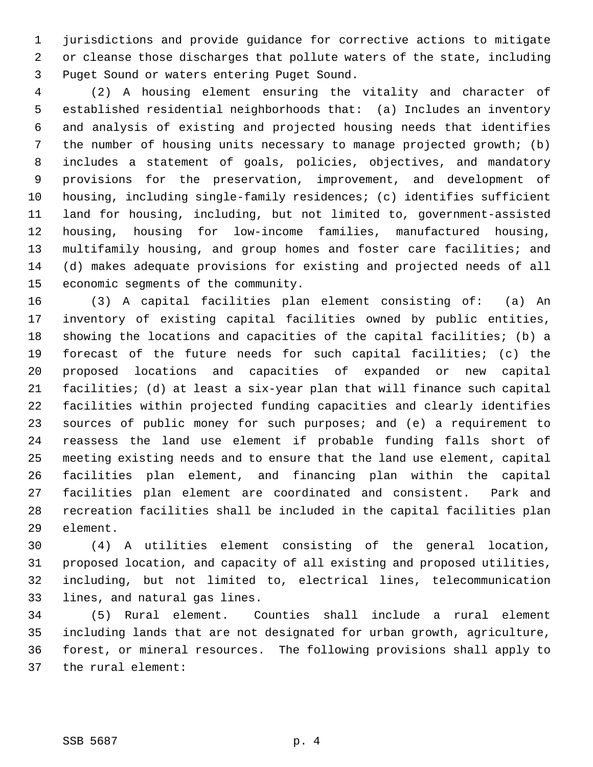1 jurisdictions and provide guidance for corrective actions to mitigate 2 or cleanse those discharges that pollute waters of the state, including 3 Puget Sound or waters entering Puget Sound.

 4 (2) A housing element ensuring the vitality and character of 5 established residential neighborhoods that: (a) Includes an inventory 6 and analysis of existing and projected housing needs that identifies 7 the number of housing units necessary to manage projected growth; (b) 8 includes a statement of goals, policies, objectives, and mandatory 9 provisions for the preservation, improvement, and development of 10 housing, including single-family residences; (c) identifies sufficient 11 land for housing, including, but not limited to, government-assisted 12 housing, housing for low-income families, manufactured housing, 13 multifamily housing, and group homes and foster care facilities; and 14 (d) makes adequate provisions for existing and projected needs of all 15 economic segments of the community.

16 (3) A capital facilities plan element consisting of: (a) An 17 inventory of existing capital facilities owned by public entities, 18 showing the locations and capacities of the capital facilities; (b) a 19 forecast of the future needs for such capital facilities; (c) the 20 proposed locations and capacities of expanded or new capital 21 facilities; (d) at least a six-year plan that will finance such capital 22 facilities within projected funding capacities and clearly identifies 23 sources of public money for such purposes; and (e) a requirement to 24 reassess the land use element if probable funding falls short of 25 meeting existing needs and to ensure that the land use element, capital 26 facilities plan element, and financing plan within the capital 27 facilities plan element are coordinated and consistent. Park and 28 recreation facilities shall be included in the capital facilities plan 29 element.

30 (4) A utilities element consisting of the general location, 31 proposed location, and capacity of all existing and proposed utilities, 32 including, but not limited to, electrical lines, telecommunication 33 lines, and natural gas lines.

34 (5) Rural element. Counties shall include a rural element 35 including lands that are not designated for urban growth, agriculture, 36 forest, or mineral resources. The following provisions shall apply to 37 the rural element: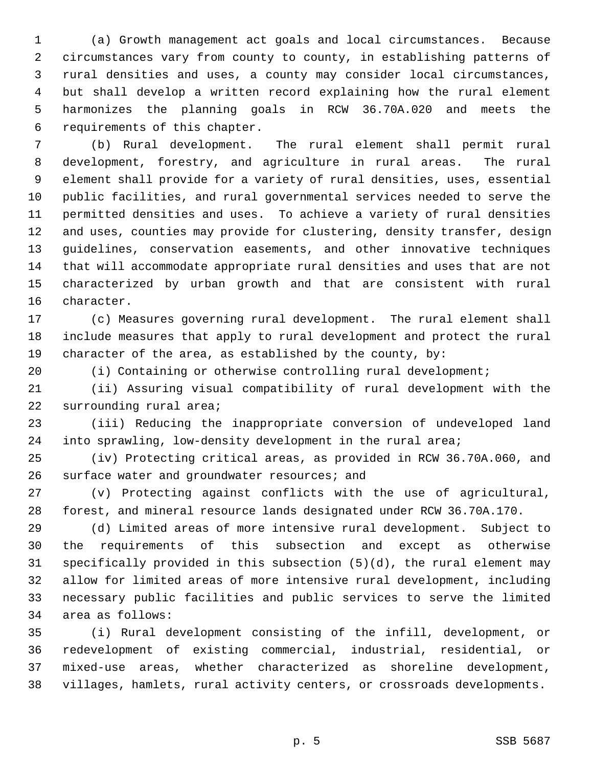1 (a) Growth management act goals and local circumstances. Because 2 circumstances vary from county to county, in establishing patterns of 3 rural densities and uses, a county may consider local circumstances, 4 but shall develop a written record explaining how the rural element 5 harmonizes the planning goals in RCW 36.70A.020 and meets the 6 requirements of this chapter.

 7 (b) Rural development. The rural element shall permit rural 8 development, forestry, and agriculture in rural areas. The rural 9 element shall provide for a variety of rural densities, uses, essential 10 public facilities, and rural governmental services needed to serve the 11 permitted densities and uses. To achieve a variety of rural densities 12 and uses, counties may provide for clustering, density transfer, design 13 guidelines, conservation easements, and other innovative techniques 14 that will accommodate appropriate rural densities and uses that are not 15 characterized by urban growth and that are consistent with rural 16 character.

17 (c) Measures governing rural development. The rural element shall 18 include measures that apply to rural development and protect the rural 19 character of the area, as established by the county, by:

20 (i) Containing or otherwise controlling rural development;

21 (ii) Assuring visual compatibility of rural development with the 22 surrounding rural area;

23 (iii) Reducing the inappropriate conversion of undeveloped land 24 into sprawling, low-density development in the rural area;

25 (iv) Protecting critical areas, as provided in RCW 36.70A.060, and 26 surface water and groundwater resources; and

27 (v) Protecting against conflicts with the use of agricultural, 28 forest, and mineral resource lands designated under RCW 36.70A.170.

29 (d) Limited areas of more intensive rural development. Subject to 30 the requirements of this subsection and except as otherwise 31 specifically provided in this subsection (5)(d), the rural element may 32 allow for limited areas of more intensive rural development, including 33 necessary public facilities and public services to serve the limited 34 area as follows:

35 (i) Rural development consisting of the infill, development, or 36 redevelopment of existing commercial, industrial, residential, or 37 mixed-use areas, whether characterized as shoreline development, 38 villages, hamlets, rural activity centers, or crossroads developments.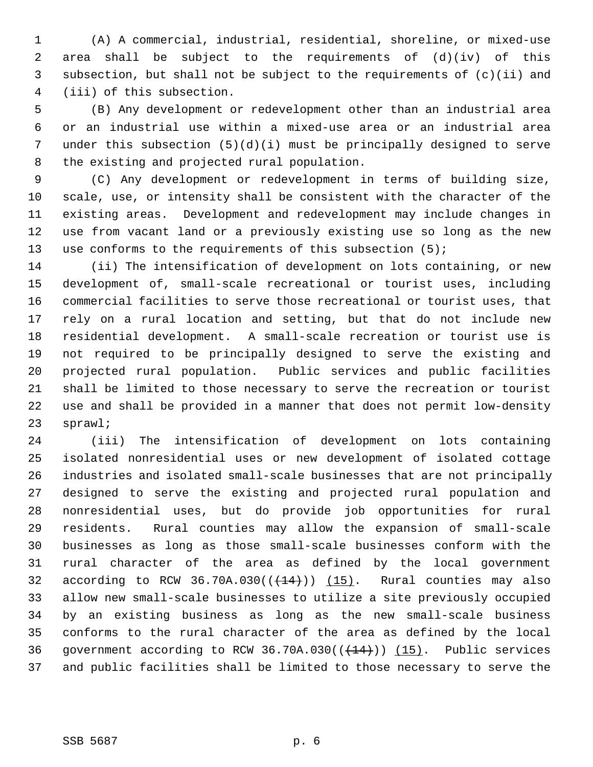1 (A) A commercial, industrial, residential, shoreline, or mixed-use 2 area shall be subject to the requirements of (d)(iv) of this 3 subsection, but shall not be subject to the requirements of (c)(ii) and 4 (iii) of this subsection.

 5 (B) Any development or redevelopment other than an industrial area 6 or an industrial use within a mixed-use area or an industrial area 7 under this subsection (5)(d)(i) must be principally designed to serve 8 the existing and projected rural population.

 9 (C) Any development or redevelopment in terms of building size, 10 scale, use, or intensity shall be consistent with the character of the 11 existing areas. Development and redevelopment may include changes in 12 use from vacant land or a previously existing use so long as the new 13 use conforms to the requirements of this subsection (5);

14 (ii) The intensification of development on lots containing, or new 15 development of, small-scale recreational or tourist uses, including 16 commercial facilities to serve those recreational or tourist uses, that 17 rely on a rural location and setting, but that do not include new 18 residential development. A small-scale recreation or tourist use is 19 not required to be principally designed to serve the existing and 20 projected rural population. Public services and public facilities 21 shall be limited to those necessary to serve the recreation or tourist 22 use and shall be provided in a manner that does not permit low-density 23 sprawl;

24 (iii) The intensification of development on lots containing 25 isolated nonresidential uses or new development of isolated cottage 26 industries and isolated small-scale businesses that are not principally 27 designed to serve the existing and projected rural population and 28 nonresidential uses, but do provide job opportunities for rural 29 residents. Rural counties may allow the expansion of small-scale 30 businesses as long as those small-scale businesses conform with the 31 rural character of the area as defined by the local government 32 according to RCW 36.70A.030( $(\frac{14}{1})$ ) (15). Rural counties may also 33 allow new small-scale businesses to utilize a site previously occupied 34 by an existing business as long as the new small-scale business 35 conforms to the rural character of the area as defined by the local 36 government according to RCW 36.70A.030( $(\frac{14}{1})$ ) (15). Public services 37 and public facilities shall be limited to those necessary to serve the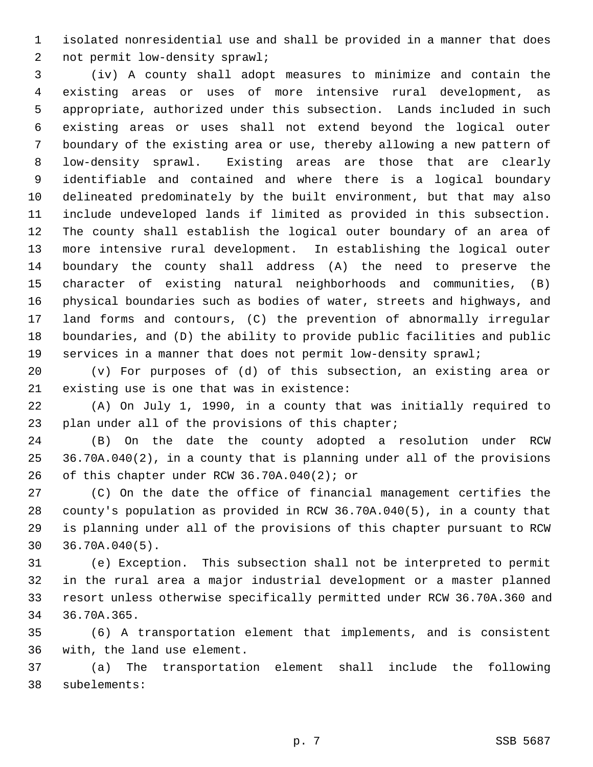1 isolated nonresidential use and shall be provided in a manner that does 2 not permit low-density sprawl;

 3 (iv) A county shall adopt measures to minimize and contain the 4 existing areas or uses of more intensive rural development, as 5 appropriate, authorized under this subsection. Lands included in such 6 existing areas or uses shall not extend beyond the logical outer 7 boundary of the existing area or use, thereby allowing a new pattern of 8 low-density sprawl. Existing areas are those that are clearly 9 identifiable and contained and where there is a logical boundary 10 delineated predominately by the built environment, but that may also 11 include undeveloped lands if limited as provided in this subsection. 12 The county shall establish the logical outer boundary of an area of 13 more intensive rural development. In establishing the logical outer 14 boundary the county shall address (A) the need to preserve the 15 character of existing natural neighborhoods and communities, (B) 16 physical boundaries such as bodies of water, streets and highways, and 17 land forms and contours, (C) the prevention of abnormally irregular 18 boundaries, and (D) the ability to provide public facilities and public 19 services in a manner that does not permit low-density sprawl;

20 (v) For purposes of (d) of this subsection, an existing area or 21 existing use is one that was in existence:

22 (A) On July 1, 1990, in a county that was initially required to 23 plan under all of the provisions of this chapter;

24 (B) On the date the county adopted a resolution under RCW 25 36.70A.040(2), in a county that is planning under all of the provisions 26 of this chapter under RCW 36.70A.040(2); or

27 (C) On the date the office of financial management certifies the 28 county's population as provided in RCW 36.70A.040(5), in a county that 29 is planning under all of the provisions of this chapter pursuant to RCW 30 36.70A.040(5).

31 (e) Exception. This subsection shall not be interpreted to permit 32 in the rural area a major industrial development or a master planned 33 resort unless otherwise specifically permitted under RCW 36.70A.360 and 34 36.70A.365.

35 (6) A transportation element that implements, and is consistent 36 with, the land use element.

37 (a) The transportation element shall include the following 38 subelements: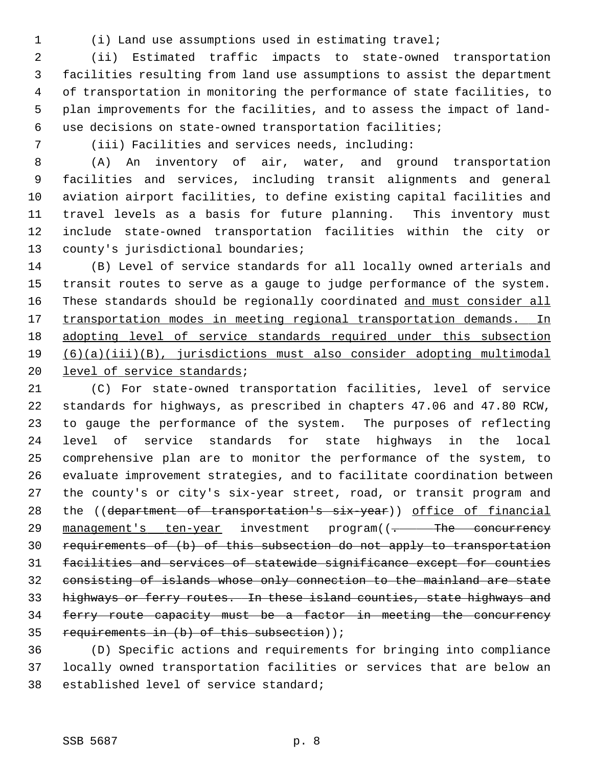1 (i) Land use assumptions used in estimating travel;

 2 (ii) Estimated traffic impacts to state-owned transportation 3 facilities resulting from land use assumptions to assist the department 4 of transportation in monitoring the performance of state facilities, to 5 plan improvements for the facilities, and to assess the impact of land- 6 use decisions on state-owned transportation facilities;

7 (iii) Facilities and services needs, including:

 8 (A) An inventory of air, water, and ground transportation 9 facilities and services, including transit alignments and general 10 aviation airport facilities, to define existing capital facilities and 11 travel levels as a basis for future planning. This inventory must 12 include state-owned transportation facilities within the city or 13 county's jurisdictional boundaries;

14 (B) Level of service standards for all locally owned arterials and 15 transit routes to serve as a gauge to judge performance of the system. 16 These standards should be regionally coordinated and must consider all 17 transportation modes in meeting regional transportation demands. In 18 adopting level of service standards required under this subsection 19 (6)(a)(iii)(B), jurisdictions must also consider adopting multimodal 20 level of service standards;

21 (C) For state-owned transportation facilities, level of service 22 standards for highways, as prescribed in chapters 47.06 and 47.80 RCW, 23 to gauge the performance of the system. The purposes of reflecting 24 level of service standards for state highways in the local 25 comprehensive plan are to monitor the performance of the system, to 26 evaluate improvement strategies, and to facilitate coordination between 27 the county's or city's six-year street, road, or transit program and 28 the ((department of transportation's six-year)) office of financial 29 management's ten-year investment program((<del>. The concurrency</del> 30 requirements of (b) of this subsection do not apply to transportation 31 facilities and services of statewide significance except for counties 32 consisting of islands whose only connection to the mainland are state 33 highways or ferry routes. In these island counties, state highways and 34 ferry route capacity must be a factor in meeting the concurrency 35 requirements in (b) of this subsection));

36 (D) Specific actions and requirements for bringing into compliance 37 locally owned transportation facilities or services that are below an 38 established level of service standard;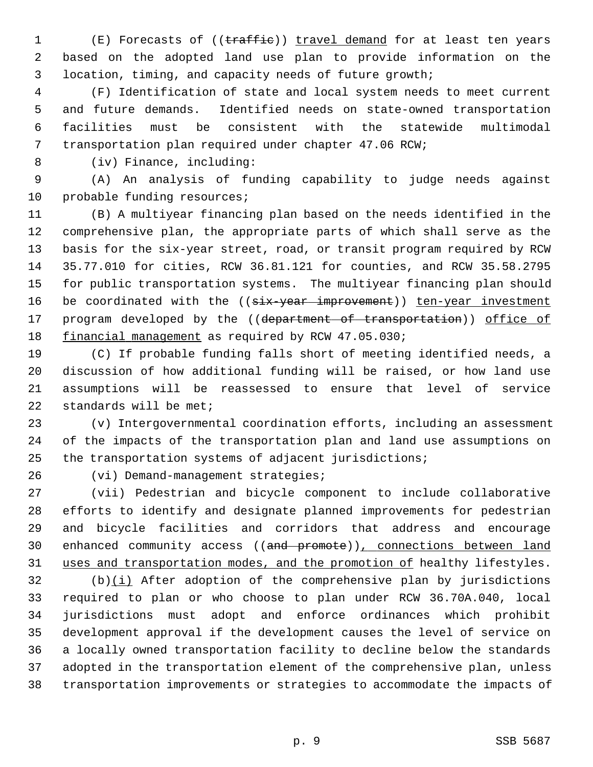1 (E) Forecasts of ((traffic)) travel demand for at least ten years 2 based on the adopted land use plan to provide information on the 3 location, timing, and capacity needs of future growth;

 4 (F) Identification of state and local system needs to meet current 5 and future demands. Identified needs on state-owned transportation 6 facilities must be consistent with the statewide multimodal 7 transportation plan required under chapter 47.06 RCW;

8 (iv) Finance, including:

 9 (A) An analysis of funding capability to judge needs against 10 probable funding resources;

11 (B) A multiyear financing plan based on the needs identified in the 12 comprehensive plan, the appropriate parts of which shall serve as the 13 basis for the six-year street, road, or transit program required by RCW 14 35.77.010 for cities, RCW 36.81.121 for counties, and RCW 35.58.2795 15 for public transportation systems. The multiyear financing plan should 16 be coordinated with the ((six-year improvement)) ten-year investment 17 program developed by the ((department of transportation)) office of 18 financial management as required by RCW 47.05.030;

19 (C) If probable funding falls short of meeting identified needs, a 20 discussion of how additional funding will be raised, or how land use 21 assumptions will be reassessed to ensure that level of service 22 standards will be met;

23 (v) Intergovernmental coordination efforts, including an assessment 24 of the impacts of the transportation plan and land use assumptions on 25 the transportation systems of adjacent jurisdictions;

26 (vi) Demand-management strategies;

27 (vii) Pedestrian and bicycle component to include collaborative 28 efforts to identify and designate planned improvements for pedestrian 29 and bicycle facilities and corridors that address and encourage 30 enhanced community access ((and promote)), connections between land 31 uses and transportation modes, and the promotion of healthy lifestyles.

32 (b)(i) After adoption of the comprehensive plan by jurisdictions 33 required to plan or who choose to plan under RCW 36.70A.040, local 34 jurisdictions must adopt and enforce ordinances which prohibit 35 development approval if the development causes the level of service on 36 a locally owned transportation facility to decline below the standards 37 adopted in the transportation element of the comprehensive plan, unless 38 transportation improvements or strategies to accommodate the impacts of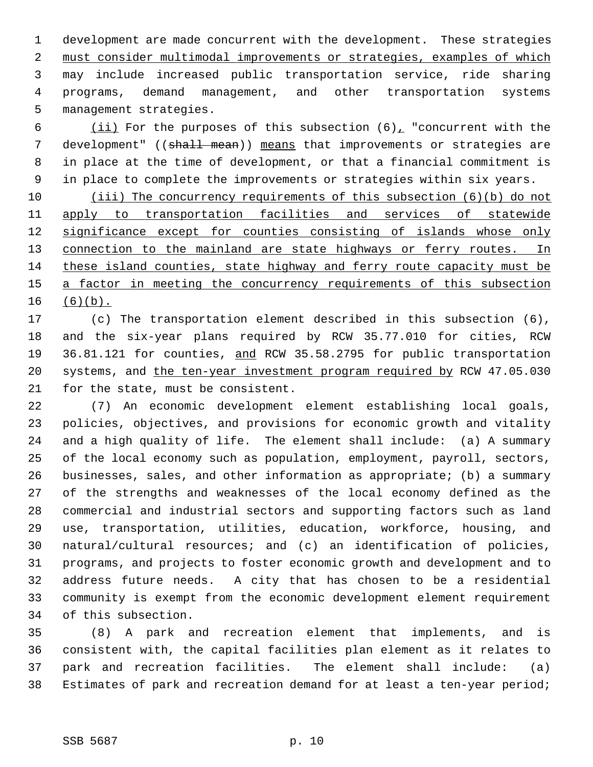1 development are made concurrent with the development. These strategies 2 must consider multimodal improvements or strategies, examples of which 3 may include increased public transportation service, ride sharing 4 programs, demand management, and other transportation systems 5 management strategies.

6 (ii) For the purposes of this subsection  $(6)_L$  "concurrent with the 7 development" ((shall mean)) means that improvements or strategies are 8 in place at the time of development, or that a financial commitment is 9 in place to complete the improvements or strategies within six years.

 (iii) The concurrency requirements of this subsection (6)(b) do not apply to transportation facilities and services of statewide significance except for counties consisting of islands whose only 13 connection to the mainland are state highways or ferry routes. In these island counties, state highway and ferry route capacity must be a factor in meeting the concurrency requirements of this subsection 16 (6)(b).

17 (c) The transportation element described in this subsection (6), 18 and the six-year plans required by RCW 35.77.010 for cities, RCW 19 36.81.121 for counties, and RCW 35.58.2795 for public transportation 20 systems, and the ten-year investment program required by RCW 47.05.030 21 for the state, must be consistent.

22 (7) An economic development element establishing local goals, 23 policies, objectives, and provisions for economic growth and vitality 24 and a high quality of life. The element shall include: (a) A summary 25 of the local economy such as population, employment, payroll, sectors, 26 businesses, sales, and other information as appropriate; (b) a summary 27 of the strengths and weaknesses of the local economy defined as the 28 commercial and industrial sectors and supporting factors such as land 29 use, transportation, utilities, education, workforce, housing, and 30 natural/cultural resources; and (c) an identification of policies, 31 programs, and projects to foster economic growth and development and to 32 address future needs. A city that has chosen to be a residential 33 community is exempt from the economic development element requirement 34 of this subsection.

35 (8) A park and recreation element that implements, and is 36 consistent with, the capital facilities plan element as it relates to 37 park and recreation facilities. The element shall include: (a) 38 Estimates of park and recreation demand for at least a ten-year period;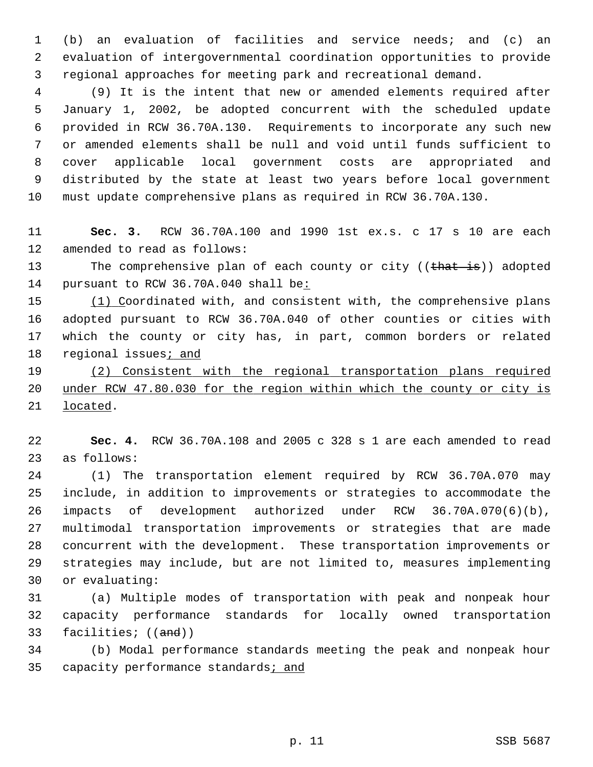1 (b) an evaluation of facilities and service needs; and (c) an 2 evaluation of intergovernmental coordination opportunities to provide 3 regional approaches for meeting park and recreational demand.

 4 (9) It is the intent that new or amended elements required after 5 January 1, 2002, be adopted concurrent with the scheduled update 6 provided in RCW 36.70A.130. Requirements to incorporate any such new 7 or amended elements shall be null and void until funds sufficient to 8 cover applicable local government costs are appropriated and 9 distributed by the state at least two years before local government 10 must update comprehensive plans as required in RCW 36.70A.130.

11 **Sec. 3.** RCW 36.70A.100 and 1990 1st ex.s. c 17 s 10 are each 12 amended to read as follows:

13 The comprehensive plan of each county or city ((that is)) adopted 14 pursuant to RCW 36.70A.040 shall be:

15 (1) Coordinated with, and consistent with, the comprehensive plans 16 adopted pursuant to RCW 36.70A.040 of other counties or cities with 17 which the county or city has, in part, common borders or related 18 regional issues; and

19 (2) Consistent with the regional transportation plans required 20 under RCW 47.80.030 for the region within which the county or city is 21 located.

22 **Sec. 4.** RCW 36.70A.108 and 2005 c 328 s 1 are each amended to read 23 as follows:

24 (1) The transportation element required by RCW 36.70A.070 may 25 include, in addition to improvements or strategies to accommodate the 26 impacts of development authorized under RCW 36.70A.070(6)(b), 27 multimodal transportation improvements or strategies that are made 28 concurrent with the development. These transportation improvements or 29 strategies may include, but are not limited to, measures implementing 30 or evaluating:

31 (a) Multiple modes of transportation with peak and nonpeak hour 32 capacity performance standards for locally owned transportation 33 facilities; ((and))

34 (b) Modal performance standards meeting the peak and nonpeak hour 35 capacity performance standards; and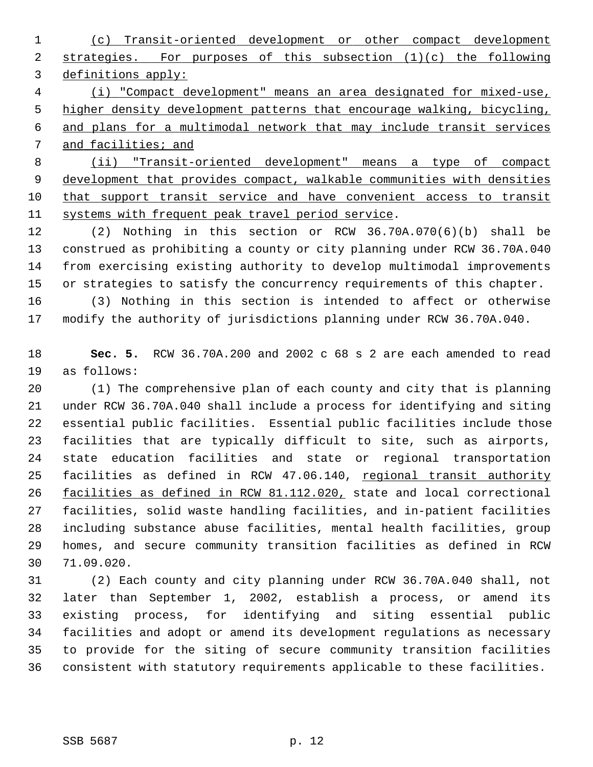(c) Transit-oriented development or other compact development strategies. For purposes of this subsection (1)(c) the following definitions apply: (i) "Compact development" means an area designated for mixed-use,

 5 higher density development patterns that encourage walking, bicycling, 6 and plans for a multimodal network that may include transit services 7 and facilities; and

 (ii) "Transit-oriented development" means a type of compact 9 development that provides compact, walkable communities with densities that support transit service and have convenient access to transit systems with frequent peak travel period service.

12 (2) Nothing in this section or RCW 36.70A.070(6)(b) shall be 13 construed as prohibiting a county or city planning under RCW 36.70A.040 14 from exercising existing authority to develop multimodal improvements 15 or strategies to satisfy the concurrency requirements of this chapter.

16 (3) Nothing in this section is intended to affect or otherwise 17 modify the authority of jurisdictions planning under RCW 36.70A.040.

18 **Sec. 5.** RCW 36.70A.200 and 2002 c 68 s 2 are each amended to read 19 as follows:

20 (1) The comprehensive plan of each county and city that is planning 21 under RCW 36.70A.040 shall include a process for identifying and siting 22 essential public facilities. Essential public facilities include those 23 facilities that are typically difficult to site, such as airports, 24 state education facilities and state or regional transportation 25 facilities as defined in RCW 47.06.140, regional transit authority 26 facilities as defined in RCW 81.112.020, state and local correctional 27 facilities, solid waste handling facilities, and in-patient facilities 28 including substance abuse facilities, mental health facilities, group 29 homes, and secure community transition facilities as defined in RCW 30 71.09.020.

31 (2) Each county and city planning under RCW 36.70A.040 shall, not 32 later than September 1, 2002, establish a process, or amend its 33 existing process, for identifying and siting essential public 34 facilities and adopt or amend its development regulations as necessary 35 to provide for the siting of secure community transition facilities 36 consistent with statutory requirements applicable to these facilities.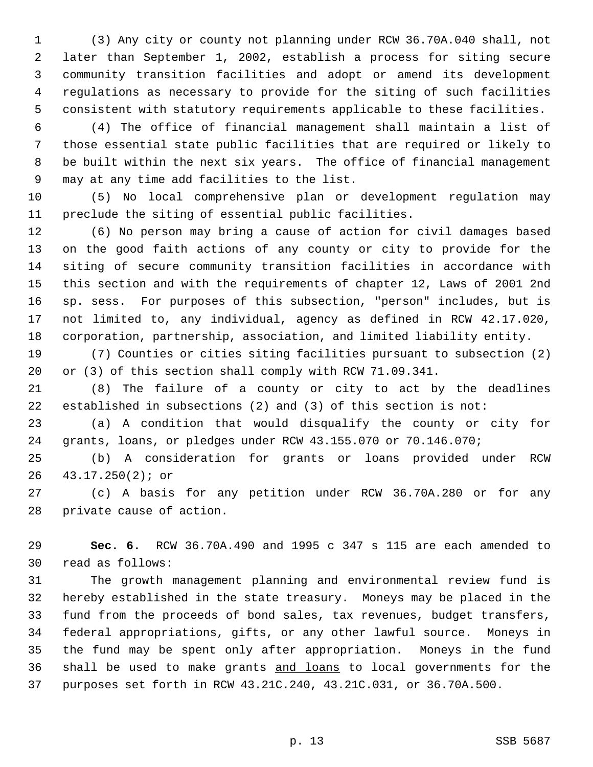1 (3) Any city or county not planning under RCW 36.70A.040 shall, not 2 later than September 1, 2002, establish a process for siting secure 3 community transition facilities and adopt or amend its development 4 regulations as necessary to provide for the siting of such facilities 5 consistent with statutory requirements applicable to these facilities.

 6 (4) The office of financial management shall maintain a list of 7 those essential state public facilities that are required or likely to 8 be built within the next six years. The office of financial management 9 may at any time add facilities to the list.

10 (5) No local comprehensive plan or development regulation may 11 preclude the siting of essential public facilities.

12 (6) No person may bring a cause of action for civil damages based 13 on the good faith actions of any county or city to provide for the 14 siting of secure community transition facilities in accordance with 15 this section and with the requirements of chapter 12, Laws of 2001 2nd 16 sp. sess. For purposes of this subsection, "person" includes, but is 17 not limited to, any individual, agency as defined in RCW 42.17.020, 18 corporation, partnership, association, and limited liability entity.

19 (7) Counties or cities siting facilities pursuant to subsection (2) 20 or (3) of this section shall comply with RCW 71.09.341.

21 (8) The failure of a county or city to act by the deadlines 22 established in subsections (2) and (3) of this section is not:

23 (a) A condition that would disqualify the county or city for 24 grants, loans, or pledges under RCW 43.155.070 or 70.146.070;

25 (b) A consideration for grants or loans provided under RCW 26 43.17.250(2); or

27 (c) A basis for any petition under RCW 36.70A.280 or for any 28 private cause of action.

29 **Sec. 6.** RCW 36.70A.490 and 1995 c 347 s 115 are each amended to 30 read as follows:

31 The growth management planning and environmental review fund is 32 hereby established in the state treasury. Moneys may be placed in the 33 fund from the proceeds of bond sales, tax revenues, budget transfers, 34 federal appropriations, gifts, or any other lawful source. Moneys in 35 the fund may be spent only after appropriation. Moneys in the fund 36 shall be used to make grants and loans to local governments for the 37 purposes set forth in RCW 43.21C.240, 43.21C.031, or 36.70A.500.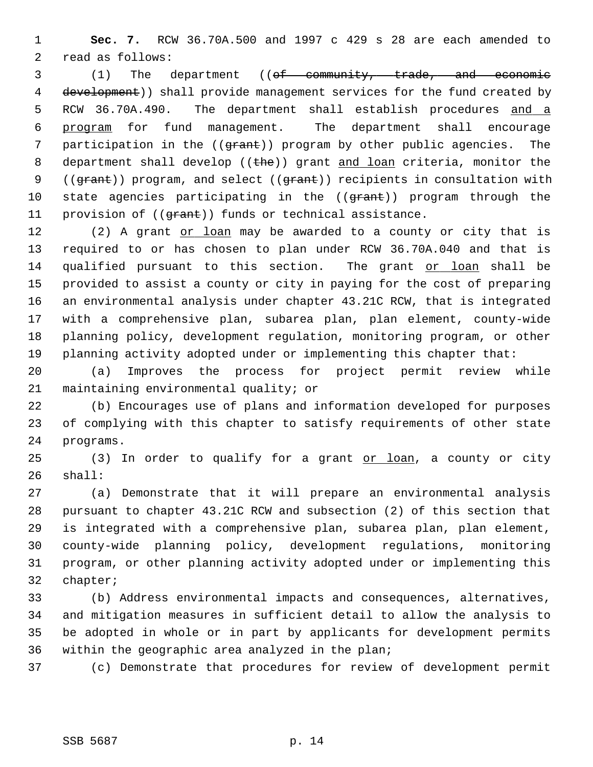1 **Sec. 7.** RCW 36.70A.500 and 1997 c 429 s 28 are each amended to 2 read as follows:

 3 (1) The department ((of community, trade, and economic 4 development)) shall provide management services for the fund created by 5 RCW 36.70A.490. The department shall establish procedures and a 6 program for fund management. The department shall encourage 7 participation in the (( $\frac{1}{2}$ ) program by other public agencies. The 8 department shall develop  $((the)$  grant and loan criteria, monitor the 9 ((grant)) program, and select ((grant)) recipients in consultation with 10 state agencies participating in the ((grant)) program through the 11 provision of ((grant)) funds or technical assistance.

12 (2) A grant or loan may be awarded to a county or city that is 13 required to or has chosen to plan under RCW 36.70A.040 and that is 14 qualified pursuant to this section. The grant or loan shall be 15 provided to assist a county or city in paying for the cost of preparing 16 an environmental analysis under chapter 43.21C RCW, that is integrated 17 with a comprehensive plan, subarea plan, plan element, county-wide 18 planning policy, development regulation, monitoring program, or other 19 planning activity adopted under or implementing this chapter that:

20 (a) Improves the process for project permit review while 21 maintaining environmental quality; or

22 (b) Encourages use of plans and information developed for purposes 23 of complying with this chapter to satisfy requirements of other state 24 programs.

25 (3) In order to qualify for a grant or loan, a county or city 26 shall:

27 (a) Demonstrate that it will prepare an environmental analysis 28 pursuant to chapter 43.21C RCW and subsection (2) of this section that 29 is integrated with a comprehensive plan, subarea plan, plan element, 30 county-wide planning policy, development regulations, monitoring 31 program, or other planning activity adopted under or implementing this 32 chapter;

33 (b) Address environmental impacts and consequences, alternatives, 34 and mitigation measures in sufficient detail to allow the analysis to 35 be adopted in whole or in part by applicants for development permits 36 within the geographic area analyzed in the plan;

37 (c) Demonstrate that procedures for review of development permit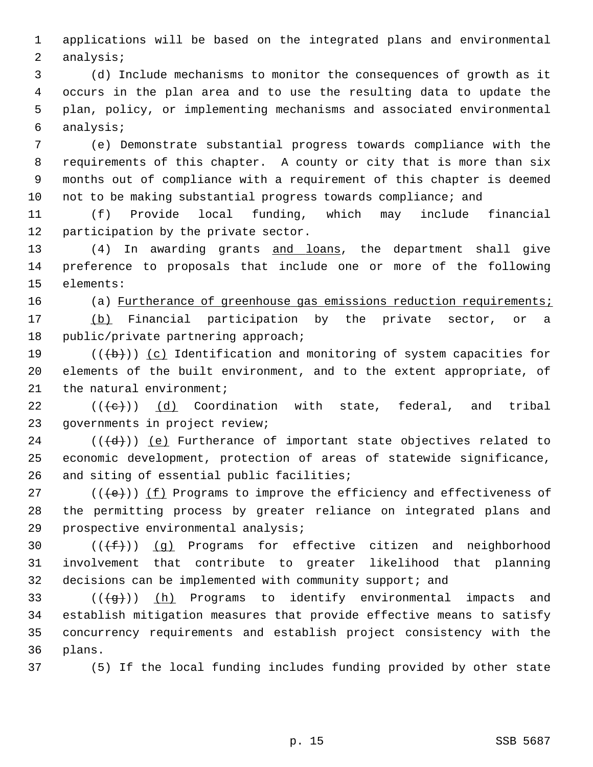1 applications will be based on the integrated plans and environmental 2 analysis;

 3 (d) Include mechanisms to monitor the consequences of growth as it 4 occurs in the plan area and to use the resulting data to update the 5 plan, policy, or implementing mechanisms and associated environmental 6 analysis;

 7 (e) Demonstrate substantial progress towards compliance with the 8 requirements of this chapter. A county or city that is more than six 9 months out of compliance with a requirement of this chapter is deemed 10 not to be making substantial progress towards compliance; and

11 (f) Provide local funding, which may include financial 12 participation by the private sector.

13 (4) In awarding grants and loans, the department shall give 14 preference to proposals that include one or more of the following 15 elements:

16 (a) Furtherance of greenhouse gas emissions reduction requirements;

17 (b) Financial participation by the private sector, or a 18 public/private partnering approach;

19  $((+b))$  (c) Identification and monitoring of system capacities for 20 elements of the built environment, and to the extent appropriate, of 21 the natural environment;

22  $((\{e\})$  (d) Coordination with state, federal, and tribal 23 governments in project review;

24  $((\{d\})$  (e) Furtherance of important state objectives related to 25 economic development, protection of areas of statewide significance, 26 and siting of essential public facilities;

27 ( $(\langle e \rangle)$ ) (f) Programs to improve the efficiency and effectiveness of 28 the permitting process by greater reliance on integrated plans and 29 prospective environmental analysis;

30  $((\text{#}))$  (g) Programs for effective citizen and neighborhood 31 involvement that contribute to greater likelihood that planning 32 decisions can be implemented with community support; and

33 ( $(\overline{+q})$ ) (h) Programs to identify environmental impacts and 34 establish mitigation measures that provide effective means to satisfy 35 concurrency requirements and establish project consistency with the 36 plans.

37 (5) If the local funding includes funding provided by other state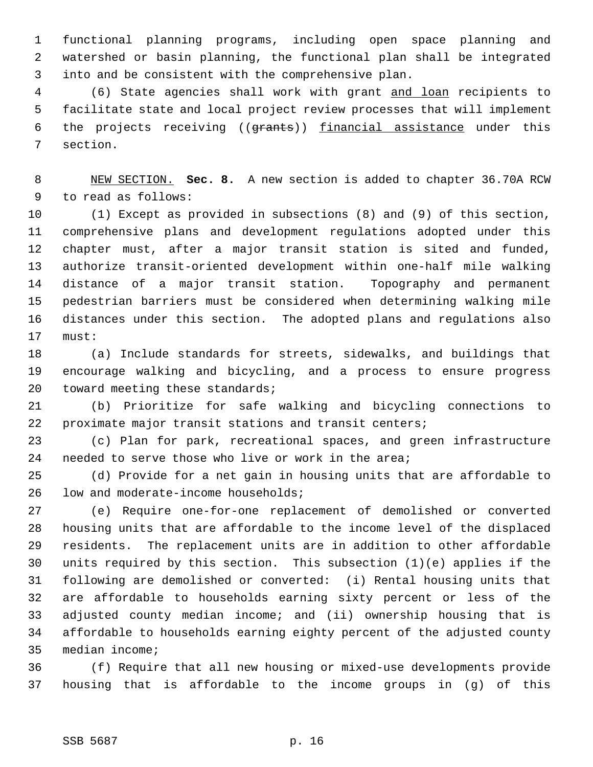1 functional planning programs, including open space planning and 2 watershed or basin planning, the functional plan shall be integrated 3 into and be consistent with the comprehensive plan.

 4 (6) State agencies shall work with grant and loan recipients to 5 facilitate state and local project review processes that will implement 6 the projects receiving ((grants)) financial assistance under this 7 section.

 8 NEW SECTION. **Sec. 8.** A new section is added to chapter 36.70A RCW 9 to read as follows:

10 (1) Except as provided in subsections (8) and (9) of this section, 11 comprehensive plans and development regulations adopted under this 12 chapter must, after a major transit station is sited and funded, 13 authorize transit-oriented development within one-half mile walking 14 distance of a major transit station. Topography and permanent 15 pedestrian barriers must be considered when determining walking mile 16 distances under this section. The adopted plans and regulations also 17 must:

18 (a) Include standards for streets, sidewalks, and buildings that 19 encourage walking and bicycling, and a process to ensure progress 20 toward meeting these standards;

21 (b) Prioritize for safe walking and bicycling connections to 22 proximate major transit stations and transit centers;

23 (c) Plan for park, recreational spaces, and green infrastructure 24 needed to serve those who live or work in the area;

25 (d) Provide for a net gain in housing units that are affordable to 26 low and moderate-income households;

27 (e) Require one-for-one replacement of demolished or converted 28 housing units that are affordable to the income level of the displaced 29 residents. The replacement units are in addition to other affordable 30 units required by this section. This subsection (1)(e) applies if the 31 following are demolished or converted: (i) Rental housing units that 32 are affordable to households earning sixty percent or less of the 33 adjusted county median income; and (ii) ownership housing that is 34 affordable to households earning eighty percent of the adjusted county 35 median income;

36 (f) Require that all new housing or mixed-use developments provide 37 housing that is affordable to the income groups in (g) of this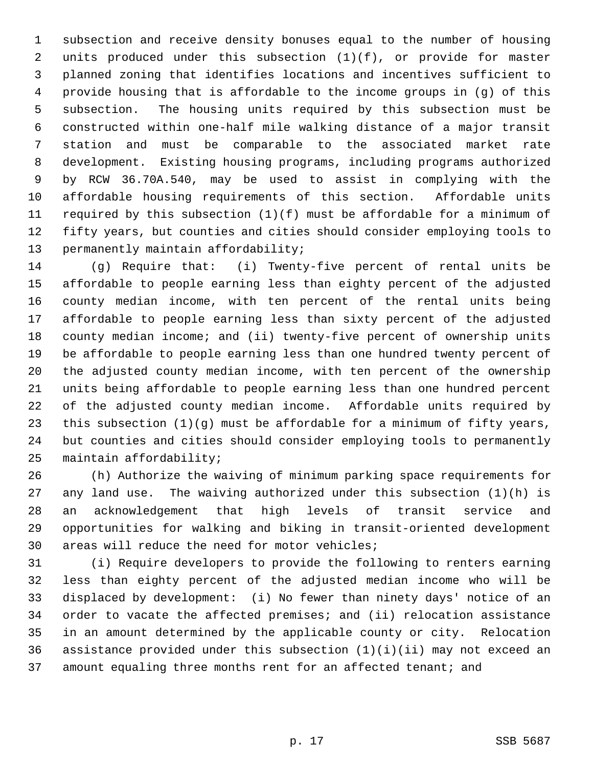1 subsection and receive density bonuses equal to the number of housing 2 units produced under this subsection (1)(f), or provide for master 3 planned zoning that identifies locations and incentives sufficient to 4 provide housing that is affordable to the income groups in (g) of this 5 subsection. The housing units required by this subsection must be 6 constructed within one-half mile walking distance of a major transit 7 station and must be comparable to the associated market rate 8 development. Existing housing programs, including programs authorized 9 by RCW 36.70A.540, may be used to assist in complying with the 10 affordable housing requirements of this section. Affordable units 11 required by this subsection (1)(f) must be affordable for a minimum of 12 fifty years, but counties and cities should consider employing tools to 13 permanently maintain affordability;

14 (g) Require that: (i) Twenty-five percent of rental units be 15 affordable to people earning less than eighty percent of the adjusted 16 county median income, with ten percent of the rental units being 17 affordable to people earning less than sixty percent of the adjusted 18 county median income; and (ii) twenty-five percent of ownership units 19 be affordable to people earning less than one hundred twenty percent of 20 the adjusted county median income, with ten percent of the ownership 21 units being affordable to people earning less than one hundred percent 22 of the adjusted county median income. Affordable units required by 23 this subsection (1)(g) must be affordable for a minimum of fifty years, 24 but counties and cities should consider employing tools to permanently 25 maintain affordability;

26 (h) Authorize the waiving of minimum parking space requirements for 27 any land use. The waiving authorized under this subsection (1)(h) is 28 an acknowledgement that high levels of transit service and 29 opportunities for walking and biking in transit-oriented development 30 areas will reduce the need for motor vehicles;

31 (i) Require developers to provide the following to renters earning 32 less than eighty percent of the adjusted median income who will be 33 displaced by development: (i) No fewer than ninety days' notice of an 34 order to vacate the affected premises; and (ii) relocation assistance 35 in an amount determined by the applicable county or city. Relocation 36 assistance provided under this subsection (1)(i)(ii) may not exceed an 37 amount equaling three months rent for an affected tenant; and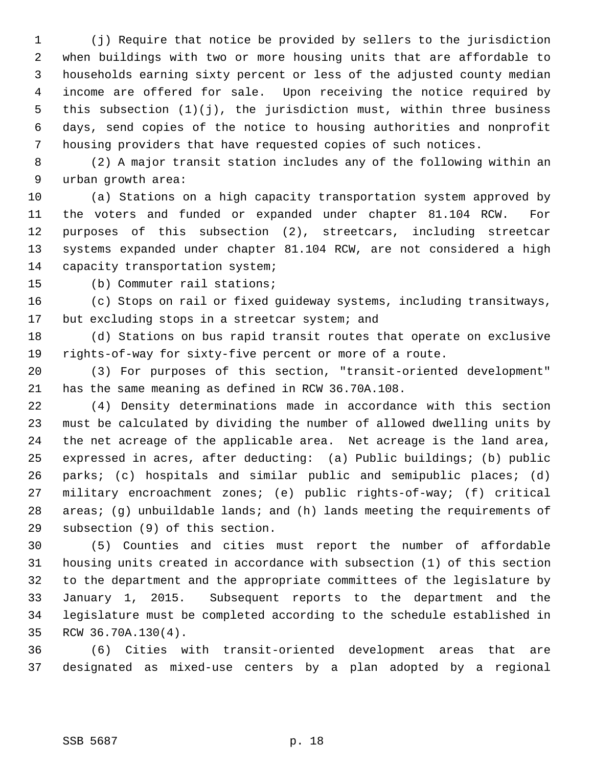1 (j) Require that notice be provided by sellers to the jurisdiction 2 when buildings with two or more housing units that are affordable to 3 households earning sixty percent or less of the adjusted county median 4 income are offered for sale. Upon receiving the notice required by 5 this subsection (1)(j), the jurisdiction must, within three business 6 days, send copies of the notice to housing authorities and nonprofit 7 housing providers that have requested copies of such notices.

 8 (2) A major transit station includes any of the following within an 9 urban growth area:

10 (a) Stations on a high capacity transportation system approved by 11 the voters and funded or expanded under chapter 81.104 RCW. For 12 purposes of this subsection (2), streetcars, including streetcar 13 systems expanded under chapter 81.104 RCW, are not considered a high 14 capacity transportation system;

15 (b) Commuter rail stations;

16 (c) Stops on rail or fixed guideway systems, including transitways, 17 but excluding stops in a streetcar system; and

18 (d) Stations on bus rapid transit routes that operate on exclusive 19 rights-of-way for sixty-five percent or more of a route.

20 (3) For purposes of this section, "transit-oriented development" 21 has the same meaning as defined in RCW 36.70A.108.

22 (4) Density determinations made in accordance with this section 23 must be calculated by dividing the number of allowed dwelling units by 24 the net acreage of the applicable area. Net acreage is the land area, 25 expressed in acres, after deducting: (a) Public buildings; (b) public 26 parks; (c) hospitals and similar public and semipublic places; (d) 27 military encroachment zones; (e) public rights-of-way; (f) critical 28 areas; (g) unbuildable lands; and (h) lands meeting the requirements of 29 subsection (9) of this section.

30 (5) Counties and cities must report the number of affordable 31 housing units created in accordance with subsection (1) of this section 32 to the department and the appropriate committees of the legislature by 33 January 1, 2015. Subsequent reports to the department and the 34 legislature must be completed according to the schedule established in 35 RCW 36.70A.130(4).

36 (6) Cities with transit-oriented development areas that are 37 designated as mixed-use centers by a plan adopted by a regional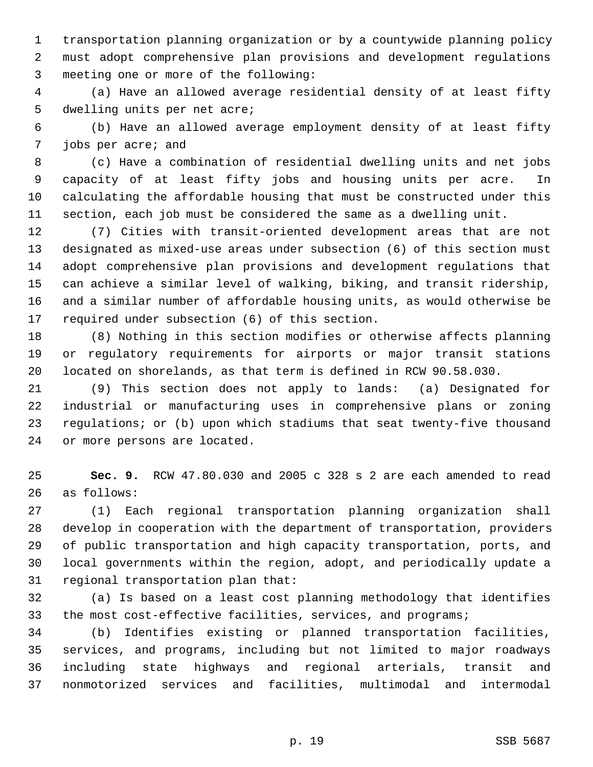1 transportation planning organization or by a countywide planning policy 2 must adopt comprehensive plan provisions and development regulations 3 meeting one or more of the following:

 4 (a) Have an allowed average residential density of at least fifty 5 dwelling units per net acre;

 6 (b) Have an allowed average employment density of at least fifty 7 jobs per acre; and

 8 (c) Have a combination of residential dwelling units and net jobs 9 capacity of at least fifty jobs and housing units per acre. In 10 calculating the affordable housing that must be constructed under this 11 section, each job must be considered the same as a dwelling unit.

12 (7) Cities with transit-oriented development areas that are not 13 designated as mixed-use areas under subsection (6) of this section must 14 adopt comprehensive plan provisions and development regulations that 15 can achieve a similar level of walking, biking, and transit ridership, 16 and a similar number of affordable housing units, as would otherwise be 17 required under subsection (6) of this section.

18 (8) Nothing in this section modifies or otherwise affects planning 19 or regulatory requirements for airports or major transit stations 20 located on shorelands, as that term is defined in RCW 90.58.030.

21 (9) This section does not apply to lands: (a) Designated for 22 industrial or manufacturing uses in comprehensive plans or zoning 23 regulations; or (b) upon which stadiums that seat twenty-five thousand 24 or more persons are located.

25 **Sec. 9.** RCW 47.80.030 and 2005 c 328 s 2 are each amended to read 26 as follows:

27 (1) Each regional transportation planning organization shall 28 develop in cooperation with the department of transportation, providers 29 of public transportation and high capacity transportation, ports, and 30 local governments within the region, adopt, and periodically update a 31 regional transportation plan that:

32 (a) Is based on a least cost planning methodology that identifies 33 the most cost-effective facilities, services, and programs;

34 (b) Identifies existing or planned transportation facilities, 35 services, and programs, including but not limited to major roadways 36 including state highways and regional arterials, transit and 37 nonmotorized services and facilities, multimodal and intermodal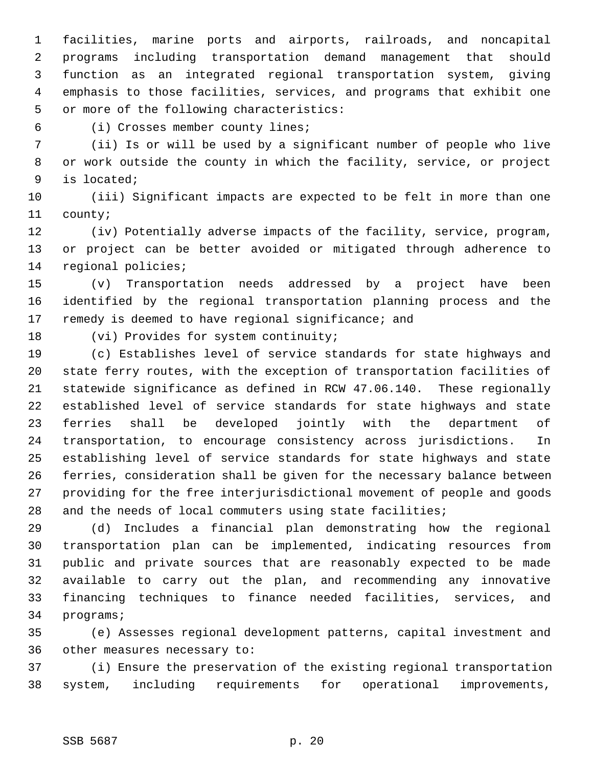1 facilities, marine ports and airports, railroads, and noncapital 2 programs including transportation demand management that should 3 function as an integrated regional transportation system, giving 4 emphasis to those facilities, services, and programs that exhibit one 5 or more of the following characteristics:

6 (i) Crosses member county lines;

 7 (ii) Is or will be used by a significant number of people who live 8 or work outside the county in which the facility, service, or project 9 is located;

10 (iii) Significant impacts are expected to be felt in more than one 11 county;

12 (iv) Potentially adverse impacts of the facility, service, program, 13 or project can be better avoided or mitigated through adherence to 14 regional policies;

15 (v) Transportation needs addressed by a project have been 16 identified by the regional transportation planning process and the 17 remedy is deemed to have regional significance; and

18 (vi) Provides for system continuity;

19 (c) Establishes level of service standards for state highways and 20 state ferry routes, with the exception of transportation facilities of 21 statewide significance as defined in RCW 47.06.140. These regionally 22 established level of service standards for state highways and state 23 ferries shall be developed jointly with the department of 24 transportation, to encourage consistency across jurisdictions. In 25 establishing level of service standards for state highways and state 26 ferries, consideration shall be given for the necessary balance between 27 providing for the free interjurisdictional movement of people and goods 28 and the needs of local commuters using state facilities;

29 (d) Includes a financial plan demonstrating how the regional 30 transportation plan can be implemented, indicating resources from 31 public and private sources that are reasonably expected to be made 32 available to carry out the plan, and recommending any innovative 33 financing techniques to finance needed facilities, services, and 34 programs;

35 (e) Assesses regional development patterns, capital investment and 36 other measures necessary to:

37 (i) Ensure the preservation of the existing regional transportation 38 system, including requirements for operational improvements,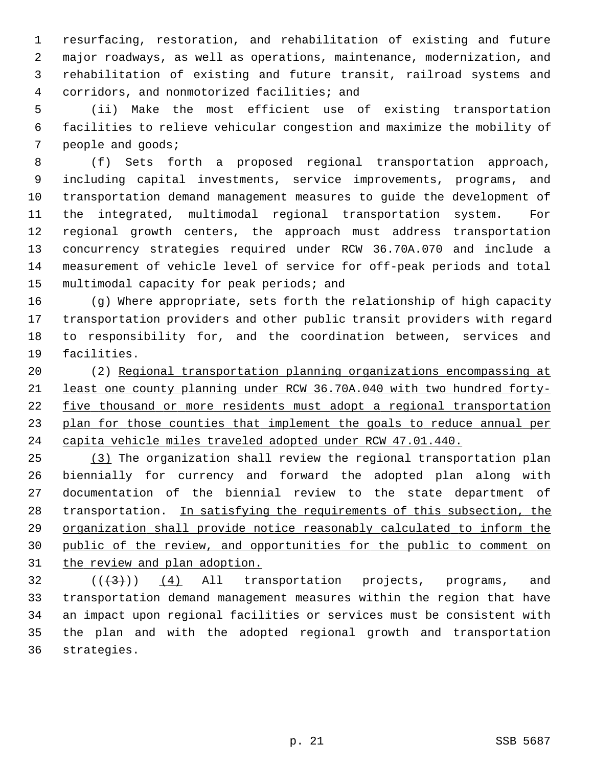1 resurfacing, restoration, and rehabilitation of existing and future 2 major roadways, as well as operations, maintenance, modernization, and 3 rehabilitation of existing and future transit, railroad systems and 4 corridors, and nonmotorized facilities; and

 5 (ii) Make the most efficient use of existing transportation 6 facilities to relieve vehicular congestion and maximize the mobility of 7 people and goods;

 8 (f) Sets forth a proposed regional transportation approach, 9 including capital investments, service improvements, programs, and 10 transportation demand management measures to guide the development of 11 the integrated, multimodal regional transportation system. For 12 regional growth centers, the approach must address transportation 13 concurrency strategies required under RCW 36.70A.070 and include a 14 measurement of vehicle level of service for off-peak periods and total 15 multimodal capacity for peak periods; and

16 (g) Where appropriate, sets forth the relationship of high capacity 17 transportation providers and other public transit providers with regard 18 to responsibility for, and the coordination between, services and 19 facilities.

20 (2) Regional transportation planning organizations encompassing at least one county planning under RCW 36.70A.040 with two hundred forty- five thousand or more residents must adopt a regional transportation plan for those counties that implement the goals to reduce annual per capita vehicle miles traveled adopted under RCW 47.01.440.

25 (3) The organization shall review the regional transportation plan 26 biennially for currency and forward the adopted plan along with 27 documentation of the biennial review to the state department of 28 transportation. In satisfying the requirements of this subsection, the 29 organization shall provide notice reasonably calculated to inform the 30 public of the review, and opportunities for the public to comment on 31 the review and plan adoption.

 $(1)(3)$  (( $(3)$ ) (4) All transportation projects, programs, and 33 transportation demand management measures within the region that have 34 an impact upon regional facilities or services must be consistent with 35 the plan and with the adopted regional growth and transportation 36 strategies.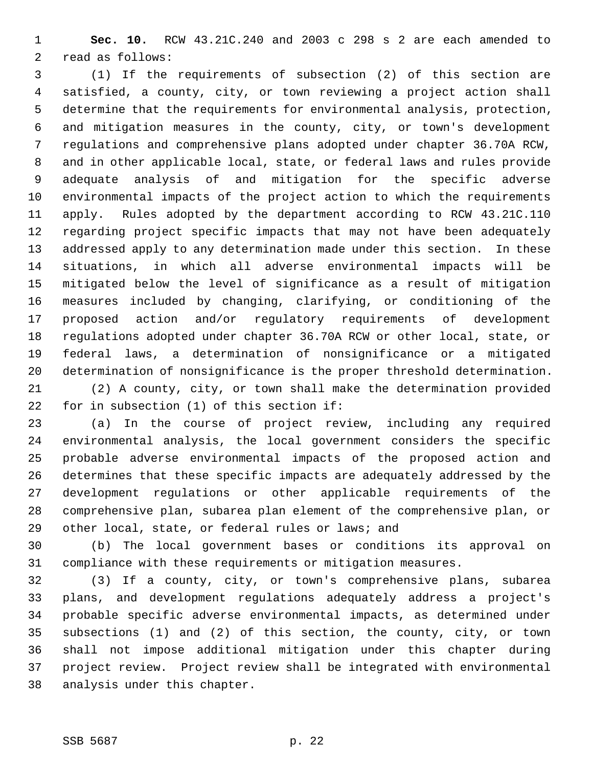1 **Sec. 10.** RCW 43.21C.240 and 2003 c 298 s 2 are each amended to 2 read as follows:

 3 (1) If the requirements of subsection (2) of this section are 4 satisfied, a county, city, or town reviewing a project action shall 5 determine that the requirements for environmental analysis, protection, 6 and mitigation measures in the county, city, or town's development 7 regulations and comprehensive plans adopted under chapter 36.70A RCW, 8 and in other applicable local, state, or federal laws and rules provide 9 adequate analysis of and mitigation for the specific adverse 10 environmental impacts of the project action to which the requirements 11 apply. Rules adopted by the department according to RCW 43.21C.110 12 regarding project specific impacts that may not have been adequately 13 addressed apply to any determination made under this section. In these 14 situations, in which all adverse environmental impacts will be 15 mitigated below the level of significance as a result of mitigation 16 measures included by changing, clarifying, or conditioning of the 17 proposed action and/or regulatory requirements of development 18 regulations adopted under chapter 36.70A RCW or other local, state, or 19 federal laws, a determination of nonsignificance or a mitigated 20 determination of nonsignificance is the proper threshold determination.

21 (2) A county, city, or town shall make the determination provided 22 for in subsection (1) of this section if:

23 (a) In the course of project review, including any required 24 environmental analysis, the local government considers the specific 25 probable adverse environmental impacts of the proposed action and 26 determines that these specific impacts are adequately addressed by the 27 development regulations or other applicable requirements of the 28 comprehensive plan, subarea plan element of the comprehensive plan, or 29 other local, state, or federal rules or laws; and

30 (b) The local government bases or conditions its approval on 31 compliance with these requirements or mitigation measures.

32 (3) If a county, city, or town's comprehensive plans, subarea 33 plans, and development regulations adequately address a project's 34 probable specific adverse environmental impacts, as determined under 35 subsections (1) and (2) of this section, the county, city, or town 36 shall not impose additional mitigation under this chapter during 37 project review. Project review shall be integrated with environmental 38 analysis under this chapter.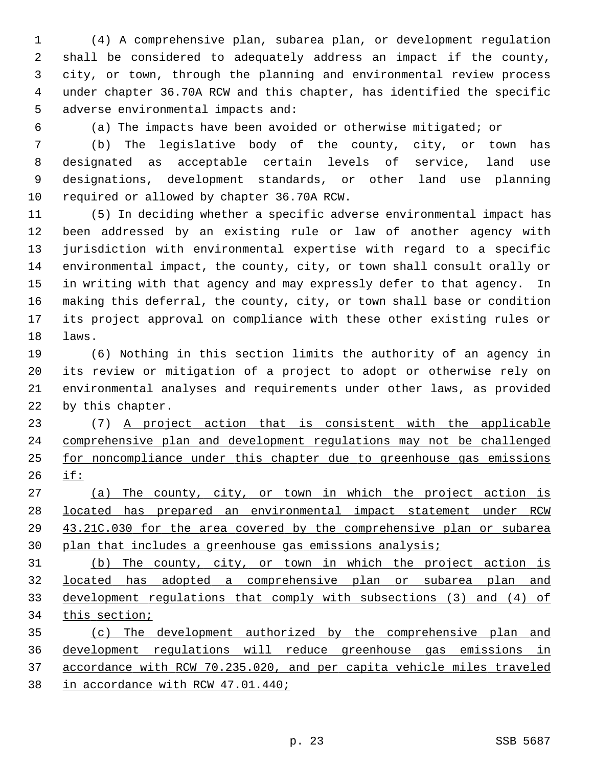1 (4) A comprehensive plan, subarea plan, or development regulation 2 shall be considered to adequately address an impact if the county, 3 city, or town, through the planning and environmental review process 4 under chapter 36.70A RCW and this chapter, has identified the specific 5 adverse environmental impacts and:

6 (a) The impacts have been avoided or otherwise mitigated; or

 7 (b) The legislative body of the county, city, or town has 8 designated as acceptable certain levels of service, land use 9 designations, development standards, or other land use planning 10 required or allowed by chapter 36.70A RCW.

11 (5) In deciding whether a specific adverse environmental impact has 12 been addressed by an existing rule or law of another agency with 13 jurisdiction with environmental expertise with regard to a specific 14 environmental impact, the county, city, or town shall consult orally or 15 in writing with that agency and may expressly defer to that agency. In 16 making this deferral, the county, city, or town shall base or condition 17 its project approval on compliance with these other existing rules or 18 laws.

19 (6) Nothing in this section limits the authority of an agency in 20 its review or mitigation of a project to adopt or otherwise rely on 21 environmental analyses and requirements under other laws, as provided 22 by this chapter.

23 (7) A project action that is consistent with the applicable 24 comprehensive plan and development regulations may not be challenged 25 for noncompliance under this chapter due to greenhouse gas emissions 26 if:

 (a) The county, city, or town in which the project action is located has prepared an environmental impact statement under RCW 43.21C.030 for the area covered by the comprehensive plan or subarea plan that includes a greenhouse gas emissions analysis;

 (b) The county, city, or town in which the project action is located has adopted a comprehensive plan or subarea plan and development regulations that comply with subsections (3) and (4) of this section;

 (c) The development authorized by the comprehensive plan and development regulations will reduce greenhouse gas emissions in accordance with RCW 70.235.020, and per capita vehicle miles traveled in accordance with RCW 47.01.440;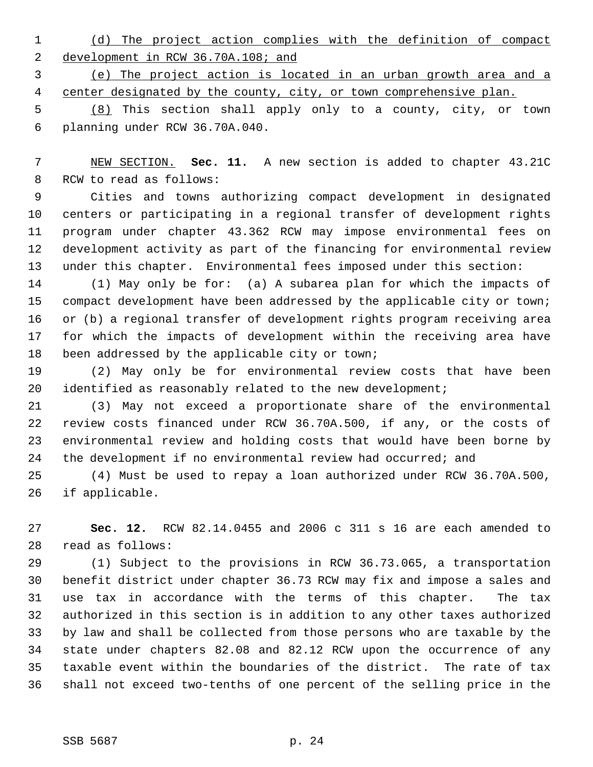1 (d) The project action complies with the definition of compact 2 development in RCW 36.70A.108; and 3 (e) The project action is located in an urban growth area and a

4 center designated by the county, city, or town comprehensive plan.

 5 (8) This section shall apply only to a county, city, or town 6 planning under RCW 36.70A.040.

 7 NEW SECTION. **Sec. 11.** A new section is added to chapter 43.21C 8 RCW to read as follows:

 9 Cities and towns authorizing compact development in designated 10 centers or participating in a regional transfer of development rights 11 program under chapter 43.362 RCW may impose environmental fees on 12 development activity as part of the financing for environmental review 13 under this chapter. Environmental fees imposed under this section:

14 (1) May only be for: (a) A subarea plan for which the impacts of 15 compact development have been addressed by the applicable city or town; 16 or (b) a regional transfer of development rights program receiving area 17 for which the impacts of development within the receiving area have 18 been addressed by the applicable city or town;

19 (2) May only be for environmental review costs that have been 20 identified as reasonably related to the new development;

21 (3) May not exceed a proportionate share of the environmental 22 review costs financed under RCW 36.70A.500, if any, or the costs of 23 environmental review and holding costs that would have been borne by 24 the development if no environmental review had occurred; and

25 (4) Must be used to repay a loan authorized under RCW 36.70A.500, 26 if applicable.

27 **Sec. 12.** RCW 82.14.0455 and 2006 c 311 s 16 are each amended to 28 read as follows:

29 (1) Subject to the provisions in RCW 36.73.065, a transportation 30 benefit district under chapter 36.73 RCW may fix and impose a sales and 31 use tax in accordance with the terms of this chapter. The tax 32 authorized in this section is in addition to any other taxes authorized 33 by law and shall be collected from those persons who are taxable by the 34 state under chapters 82.08 and 82.12 RCW upon the occurrence of any 35 taxable event within the boundaries of the district. The rate of tax 36 shall not exceed two-tenths of one percent of the selling price in the